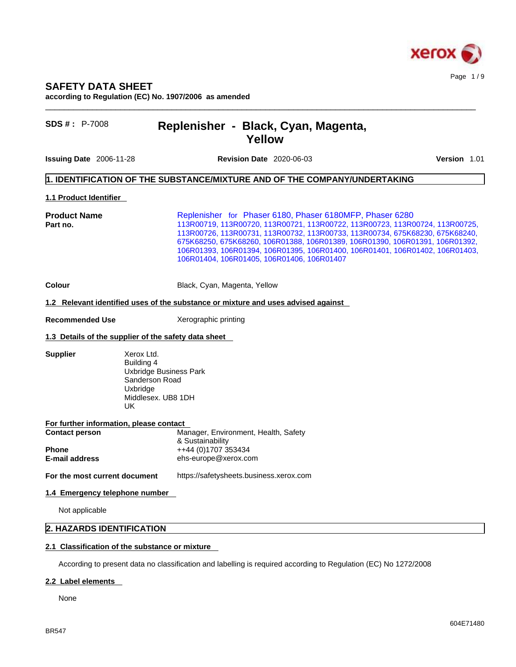

# **SAFETY DATA SHEET**

**according to Regulation (EC) No. 1907/2006 as amended** 

# **SDS # :** P-7008 **Replenisher - Black, Cyan, Magenta, Yellow**

**Issuing Date** 2006-11-28 **Revision Date** 2020-06-03 **Version** 1.01

 $\_$  ,  $\_$  ,  $\_$  ,  $\_$  ,  $\_$  ,  $\_$  ,  $\_$  ,  $\_$  ,  $\_$  ,  $\_$  ,  $\_$  ,  $\_$  ,  $\_$  ,  $\_$  ,  $\_$  ,  $\_$  ,  $\_$  ,  $\_$  ,  $\_$  ,  $\_$  ,  $\_$  ,  $\_$  ,  $\_$  ,  $\_$  ,  $\_$  ,  $\_$  ,  $\_$  ,  $\_$  ,  $\_$  ,  $\_$  ,  $\_$  ,  $\_$  ,  $\_$  ,  $\_$  ,  $\_$  ,  $\_$  ,  $\_$  ,

## **1. IDENTIFICATION OF THE SUBSTANCE/MIXTURE AND OF THE COMPANY/UNDERTAKING**

### **1.1 Product Identifier**

**Product Name** Replenisher for Phaser 6180, Phaser 6180MFP, Phaser 6280 **Part no.** 113R00719, 113R00720, 113R00721, 113R00722, 113R00723, 113R00724, 113R00725, 113R00726, 113R00731, 113R00732, 113R00733, 113R00734, 675K68230, 675K68240, 675K68250, 675K68260, 106R01388, 106R01389, 106R01390, 106R01391, 106R01392, 106R01393, 106R01394, 106R01395, 106R01400, 106R01401, 106R01402, 106R01403, 106R01404, 106R01405, 106R01406, 106R01407

## **Colour Colour Colour Black, Cyan, Magenta, Yellow**

#### **1.2 Relevant identified uses of the substance or mixture and uses advised against**

**Recommended Use** Xerographic printing

# **1.3 Details of the supplier of the safety data sheet**

**Supplier** Xerox Ltd. Building 4 Uxbridge Business Park Sanderson Road Uxbridge Middlesex. UB8 1DH UK

| For further information, please contact |                                      |  |
|-----------------------------------------|--------------------------------------|--|
| <b>Contact person</b>                   | Manager, Environment, Health, Safety |  |
|                                         | & Sustainability                     |  |
| <b>Phone</b>                            | ++44 (0)1707 353434                  |  |
| <b>E-mail address</b>                   | ehs-europe@xerox.com                 |  |
|                                         |                                      |  |

# **For the most current document** https://safetysheets.business.xerox.com

## **1.4 Emergency telephone number**

Not applicable

# **2. HAZARDS IDENTIFICATION**

## **2.1 Classification of the substance or mixture**

According to present data no classification and labelling is required according to Regulation (EC) No 1272/2008

### **2.2 Label elements**

None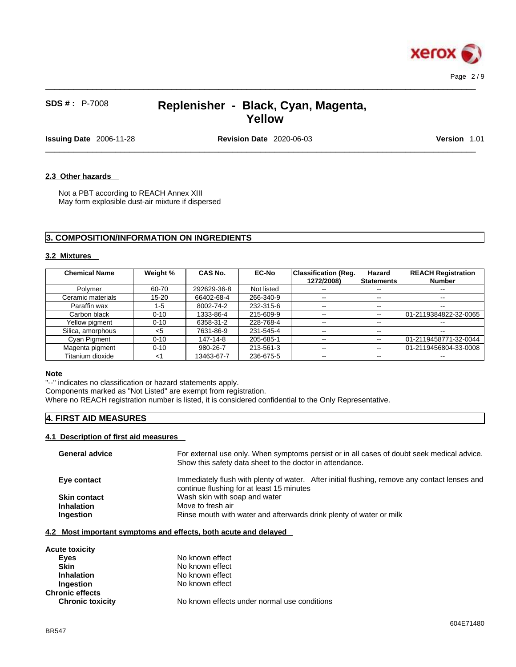

 $\_$  ,  $\_$  ,  $\_$  ,  $\_$  ,  $\_$  ,  $\_$  ,  $\_$  ,  $\_$  ,  $\_$  ,  $\_$  ,  $\_$  ,  $\_$  ,  $\_$  ,  $\_$  ,  $\_$  ,  $\_$  ,  $\_$  ,  $\_$  ,  $\_$  ,  $\_$  ,  $\_$  ,  $\_$  ,  $\_$  ,  $\_$  ,  $\_$  ,  $\_$  ,  $\_$  ,  $\_$  ,  $\_$  ,  $\_$  ,  $\_$  ,  $\_$  ,  $\_$  ,  $\_$  ,  $\_$  ,  $\_$  ,  $\_$  ,

**Issuing Date** 2006-11-28 **Revision Date** 2020-06-03 **Version** 1.01

 $\_$  ,  $\_$  ,  $\_$  ,  $\_$  ,  $\_$  ,  $\_$  ,  $\_$  ,  $\_$  ,  $\_$  ,  $\_$  ,  $\_$  ,  $\_$  ,  $\_$  ,  $\_$  ,  $\_$  ,  $\_$  ,  $\_$  ,  $\_$  ,  $\_$  ,  $\_$  ,  $\_$  ,  $\_$  ,  $\_$  ,  $\_$  ,  $\_$  ,  $\_$  ,  $\_$  ,  $\_$  ,  $\_$  ,  $\_$  ,  $\_$  ,  $\_$  ,  $\_$  ,  $\_$  ,  $\_$  ,  $\_$  ,  $\_$  ,

# **2.3 Other hazards**

Not a PBT according to REACH Annex XIII May form explosible dust-air mixture if dispersed

# **3. COMPOSITION/INFORMATION ON INGREDIENTS**

## **3.2 Mixtures**

| <b>Chemical Name</b> | Weight %  | <b>CAS No.</b> | <b>EC-No</b> | <b>Classification (Reg.</b><br>1272/2008) | Hazard<br><b>Statements</b> | <b>REACH Registration</b><br><b>Number</b> |
|----------------------|-----------|----------------|--------------|-------------------------------------------|-----------------------------|--------------------------------------------|
| Polymer              | 60-70     | 292629-36-8    | Not listed   | $- -$                                     | $- -$                       | $\overline{\phantom{a}}$                   |
| Ceramic materials    | $15 - 20$ | 66402-68-4     | 266-340-9    | $\overline{\phantom{m}}$                  | $\overline{\phantom{m}}$    | $\overline{\phantom{m}}$                   |
| Paraffin wax         | 1-5       | 8002-74-2      | 232-315-6    | $\sim$ $\sim$                             | $\qquad \qquad -$           | $- -$                                      |
| Carbon black         | $0 - 10$  | 1333-86-4      | 215-609-9    | $- -$                                     | $\overline{\phantom{m}}$    | 01-2119384822-32-0065                      |
| Yellow pigment       | $0 - 10$  | 6358-31-2      | 228-768-4    | $\overline{\phantom{m}}$                  | $\sim$ $\sim$               | $\overline{\phantom{m}}$                   |
| Silica, amorphous    | $<$ 5     | 7631-86-9      | 231-545-4    | $\sim$ $\sim$                             | $\overline{\phantom{m}}$    | $\overline{\phantom{m}}$                   |
| Cyan Pigment         | $0 - 10$  | 147-14-8       | 205-685-1    | $\sim$ $\sim$                             | $- -$                       | 01-2119458771-32-0044                      |
| Magenta pigment      | $0 - 10$  | 980-26-7       | 213-561-3    | $\overline{\phantom{a}}$                  | $\overline{\phantom{m}}$    | 01-2119456804-33-0008                      |
| Titanium dioxide     | $<$ 1     | 13463-67-7     | 236-675-5    | $- -$                                     | $\overline{\phantom{m}}$    | $\overline{\phantom{m}}$                   |

### **Note**

"--" indicates no classification or hazard statements apply.

Components marked as "Not Listed" are exempt from registration.

Where no REACH registration number is listed, it is considered confidential to the Only Representative.

# **4. FIRST AID MEASURES**

# **4.1 Description of first aid measures**

| <b>General advice</b> | For external use only. When symptoms persist or in all cases of doubt seek medical advice.<br>Show this safety data sheet to the doctor in attendance. |
|-----------------------|--------------------------------------------------------------------------------------------------------------------------------------------------------|
| Eye contact           | Immediately flush with plenty of water. After initial flushing, remove any contact lenses and<br>continue flushing for at least 15 minutes             |
| <b>Skin contact</b>   | Wash skin with soap and water                                                                                                                          |
| <b>Inhalation</b>     | Move to fresh air                                                                                                                                      |
| Ingestion             | Rinse mouth with water and afterwards drink plenty of water or milk                                                                                    |
|                       |                                                                                                                                                        |

## **4.2 Most important symptoms and effects, both acute and delayed**

| <b>Acute toxicity</b>   |                                              |
|-------------------------|----------------------------------------------|
| Eyes                    | No known effect                              |
| Skin                    | No known effect                              |
| <b>Inhalation</b>       | No known effect                              |
| Ingestion               | No known effect                              |
| <b>Chronic effects</b>  |                                              |
| <b>Chronic toxicity</b> | No known effects under normal use conditions |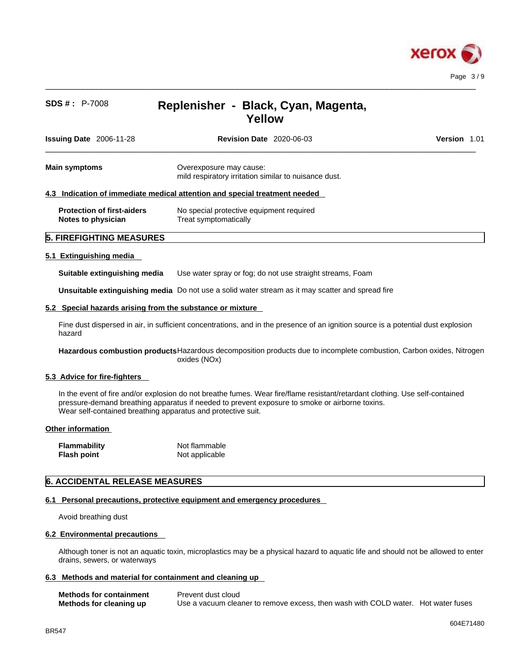

 $\_$  ,  $\_$  ,  $\_$  ,  $\_$  ,  $\_$  ,  $\_$  ,  $\_$  ,  $\_$  ,  $\_$  ,  $\_$  ,  $\_$  ,  $\_$  ,  $\_$  ,  $\_$  ,  $\_$  ,  $\_$  ,  $\_$  ,  $\_$  ,  $\_$  ,  $\_$  ,  $\_$  ,  $\_$  ,  $\_$  ,  $\_$  ,  $\_$  ,  $\_$  ,  $\_$  ,  $\_$  ,  $\_$  ,  $\_$  ,  $\_$  ,  $\_$  ,  $\_$  ,  $\_$  ,  $\_$  ,  $\_$  ,  $\_$  ,

| <b>Issuing Date</b> 2006-11-28                          | <b>Revision Date</b> 2020-06-03                                                  | <b>Version 1.01</b> |
|---------------------------------------------------------|----------------------------------------------------------------------------------|---------------------|
| <b>Main symptoms</b>                                    | Overexposure may cause:<br>mild respiratory irritation similar to nuisance dust. |                     |
|                                                         | 4.3 Indication of immediate medical attention and special treatment needed       |                     |
| <b>Protection of first-aiders</b><br>Notes to physician | No special protective equipment required<br>Treat symptomatically                |                     |
| <b>5. FIREFIGHTING MEASURES</b>                         |                                                                                  |                     |

## **5.1 Extinguishing media**

**Suitable extinguishing media** Use water spray or fog; do not use straight streams, Foam

**Unsuitable extinguishing media** Do not use a solid water stream as it may scatterand spread fire

## **5.2 Special hazards arising from the substance or mixture**

Fine dust dispersed in air, in sufficient concentrations, and in the presence of an ignition source is a potential dust explosion hazard

**Hazardous combustion products**Hazardous decomposition products due to incomplete combustion, Carbon oxides, Nitrogen oxides (NOx)

## **5.3 Advice for fire-fighters**

In the event of fire and/or explosion do not breathe fumes. Wear fire/flame resistant/retardant clothing. Use self-contained pressure-demand breathing apparatus if needed to prevent exposure to smoke or airborne toxins. Wear self-contained breathing apparatus and protective suit.

## **Other information**

| <b>Flammability</b> | Not flammable  |
|---------------------|----------------|
| <b>Flash point</b>  | Not applicable |

# **6. ACCIDENTAL RELEASE MEASURES**

## **6.1 Personal precautions, protective equipment and emergency procedures**

Avoid breathing dust

### **6.2 Environmental precautions**

Although toner is not an aquatic toxin, microplastics may be a physical hazard to aquatic life and should not be allowed to enter drains, sewers, or waterways

### **6.3 Methods and material for containment and cleaning up**

| <b>Methods for containment</b> | Prevent dust cloud                                                                |  |
|--------------------------------|-----------------------------------------------------------------------------------|--|
| Methods for cleaning up        | Use a vacuum cleaner to remove excess, then wash with COLD water. Hot water fuses |  |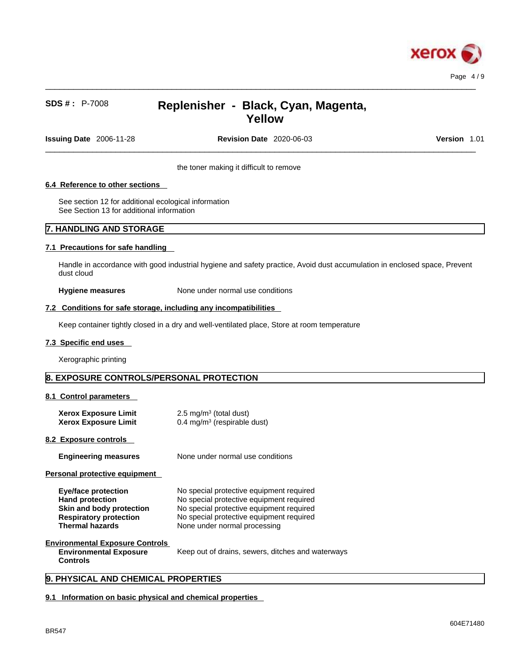

 $\_$  ,  $\_$  ,  $\_$  ,  $\_$  ,  $\_$  ,  $\_$  ,  $\_$  ,  $\_$  ,  $\_$  ,  $\_$  ,  $\_$  ,  $\_$  ,  $\_$  ,  $\_$  ,  $\_$  ,  $\_$  ,  $\_$  ,  $\_$  ,  $\_$  ,  $\_$  ,  $\_$  ,  $\_$  ,  $\_$  ,  $\_$  ,  $\_$  ,  $\_$  ,  $\_$  ,  $\_$  ,  $\_$  ,  $\_$  ,  $\_$  ,  $\_$  ,  $\_$  ,  $\_$  ,  $\_$  ,  $\_$  ,  $\_$  ,

**Issuing Date** 2006-11-28 **Revision Date** 2020-06-03 **Version** 1.01

 $\_$  ,  $\_$  ,  $\_$  ,  $\_$  ,  $\_$  ,  $\_$  ,  $\_$  ,  $\_$  ,  $\_$  ,  $\_$  ,  $\_$  ,  $\_$  ,  $\_$  ,  $\_$  ,  $\_$  ,  $\_$  ,  $\_$  ,  $\_$  ,  $\_$  ,  $\_$  ,  $\_$  ,  $\_$  ,  $\_$  ,  $\_$  ,  $\_$  ,  $\_$  ,  $\_$  ,  $\_$  ,  $\_$  ,  $\_$  ,  $\_$  ,  $\_$  ,  $\_$  ,  $\_$  ,  $\_$  ,  $\_$  ,  $\_$  ,

the toner making it difficult to remove

# **6.4 Reference to other sections**

See section 12 for additional ecological information See Section 13 for additional information

# **7. HANDLING AND STORAGE**

## **7.1 Precautions for safe handling**

Handle in accordance with good industrial hygiene and safety practice, Avoid dust accumulation in enclosed space, Prevent dust cloud

**Hygiene measures** None under normal use conditions

## **7.2 Conditions for safe storage, including any incompatibilities**

Keep container tightly closed in a dry and well-ventilated place, Store at room temperature

### **7.3 Specific end uses**

Xerographic printing

# **8. EXPOSURE CONTROLS/PERSONAL PROTECTION**

### **8.1 Control parameters**

| <b>Xerox Exposure Limit</b><br><b>Xerox Exposure Limit</b>                 | 2.5 mg/m <sup>3</sup> (total dust)<br>$0.4 \text{ mg/m}^3$ (respirable dust)                                                     |
|----------------------------------------------------------------------------|----------------------------------------------------------------------------------------------------------------------------------|
| 8.2 Exposure controls                                                      |                                                                                                                                  |
| <b>Engineering measures</b>                                                | None under normal use conditions                                                                                                 |
| Personal protective equipment                                              |                                                                                                                                  |
| Eye/face protection<br><b>Hand protection</b><br>Oldin and hady neataatlan | No special protective equipment required<br>No special protective equipment required<br>No apocial protective equipment required |

| <b>Hand protection</b>        | No special protective equipment required |
|-------------------------------|------------------------------------------|
| Skin and body protection      | No special protective equipment required |
| <b>Respiratory protection</b> | No special protective equipment required |
| Thermal hazards               | None under normal processing             |

# **Environmental Exposure Controls**

**Environmental Exposure Controls**  Keep out of drains, sewers, ditches and waterways

# **9. PHYSICAL AND CHEMICAL PROPERTIES**

## **9.1 Information on basic physical and chemical properties**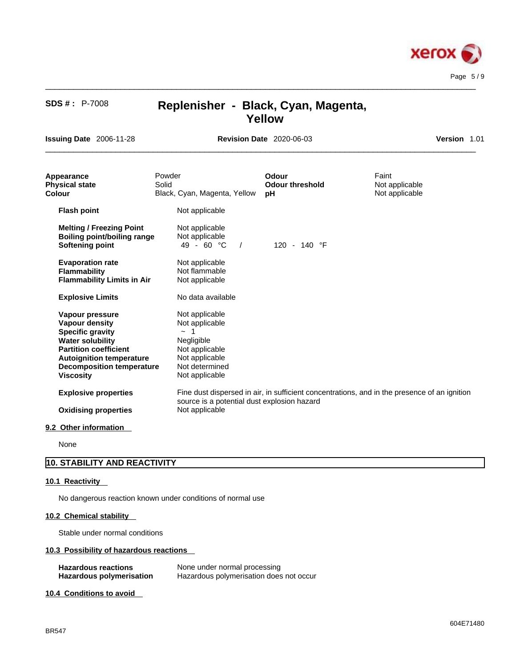

 $\_$  ,  $\_$  ,  $\_$  ,  $\_$  ,  $\_$  ,  $\_$  ,  $\_$  ,  $\_$  ,  $\_$  ,  $\_$  ,  $\_$  ,  $\_$  ,  $\_$  ,  $\_$  ,  $\_$  ,  $\_$  ,  $\_$  ,  $\_$  ,  $\_$  ,  $\_$  ,  $\_$  ,  $\_$  ,  $\_$  ,  $\_$  ,  $\_$  ,  $\_$  ,  $\_$  ,  $\_$  ,  $\_$  ,  $\_$  ,  $\_$  ,  $\_$  ,  $\_$  ,  $\_$  ,  $\_$  ,  $\_$  ,  $\_$  ,

**Issuing Date** 2006-11-28 **Revision Date** 2020-06-03 **Version** 1.01

 $\_$  ,  $\_$  ,  $\_$  ,  $\_$  ,  $\_$  ,  $\_$  ,  $\_$  ,  $\_$  ,  $\_$  ,  $\_$  ,  $\_$  ,  $\_$  ,  $\_$  ,  $\_$  ,  $\_$  ,  $\_$  ,  $\_$  ,  $\_$  ,  $\_$  ,  $\_$  ,  $\_$  ,  $\_$  ,  $\_$  ,  $\_$  ,  $\_$  ,  $\_$  ,  $\_$  ,  $\_$  ,  $\_$  ,  $\_$  ,  $\_$  ,  $\_$  ,  $\_$  ,  $\_$  ,  $\_$  ,  $\_$  ,  $\_$  ,

| Appearance<br><b>Physical state</b><br>Colour                                                                                                                                                                             | Powder<br>Solid<br>Black, Cyan, Magenta, Yellow                                                                                        | <b>Odour</b><br><b>Odour threshold</b><br>рH | Faint<br>Not applicable<br>Not applicable                                                    |  |
|---------------------------------------------------------------------------------------------------------------------------------------------------------------------------------------------------------------------------|----------------------------------------------------------------------------------------------------------------------------------------|----------------------------------------------|----------------------------------------------------------------------------------------------|--|
| <b>Flash point</b>                                                                                                                                                                                                        | Not applicable                                                                                                                         |                                              |                                                                                              |  |
| <b>Melting / Freezing Point</b><br><b>Boiling point/boiling range</b><br><b>Softening point</b>                                                                                                                           | Not applicable<br>Not applicable<br>$49 - 60 °C$<br>$\sqrt{2}$                                                                         | 120 - 140 °F                                 |                                                                                              |  |
| <b>Evaporation rate</b><br><b>Flammability</b><br><b>Flammability Limits in Air</b>                                                                                                                                       | Not applicable<br>Not flammable<br>Not applicable                                                                                      |                                              |                                                                                              |  |
| <b>Explosive Limits</b>                                                                                                                                                                                                   | No data available                                                                                                                      |                                              |                                                                                              |  |
| Vapour pressure<br><b>Vapour density</b><br><b>Specific gravity</b><br><b>Water solubility</b><br><b>Partition coefficient</b><br><b>Autoignition temperature</b><br><b>Decomposition temperature</b><br><b>Viscosity</b> | Not applicable<br>Not applicable<br>-1<br>$\sim$<br>Negligible<br>Not applicable<br>Not applicable<br>Not determined<br>Not applicable |                                              |                                                                                              |  |
| <b>Explosive properties</b><br><b>Oxidising properties</b>                                                                                                                                                                | source is a potential dust explosion hazard<br>Not applicable                                                                          |                                              | Fine dust dispersed in air, in sufficient concentrations, and in the presence of an ignition |  |
| 9.2 Other information                                                                                                                                                                                                     |                                                                                                                                        |                                              |                                                                                              |  |

None

# **10. STABILITY AND REACTIVITY**

# **10.1 Reactivity**

No dangerous reaction known under conditions of normal use

# **10.2 Chemical stability**

Stable under normal conditions

# **10.3 Possibility of hazardous reactions**

| <b>Hazardous reactions</b>      | None under normal processing            |
|---------------------------------|-----------------------------------------|
| <b>Hazardous polymerisation</b> | Hazardous polymerisation does not occur |

**10.4 Conditions to avoid**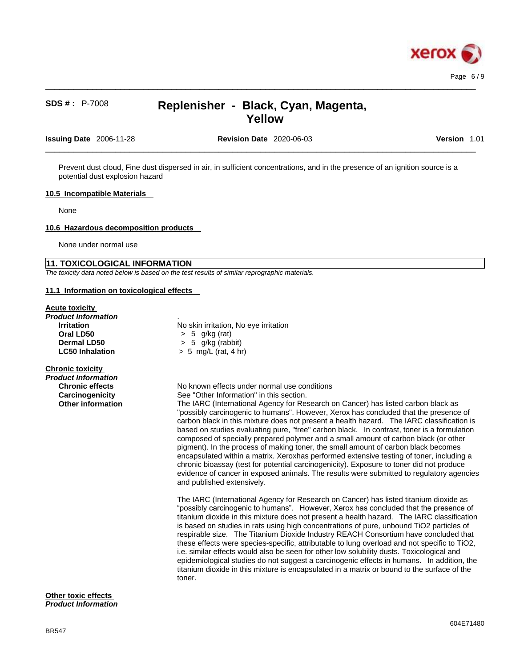

 $\_$  ,  $\_$  ,  $\_$  ,  $\_$  ,  $\_$  ,  $\_$  ,  $\_$  ,  $\_$  ,  $\_$  ,  $\_$  ,  $\_$  ,  $\_$  ,  $\_$  ,  $\_$  ,  $\_$  ,  $\_$  ,  $\_$  ,  $\_$  ,  $\_$  ,  $\_$  ,  $\_$  ,  $\_$  ,  $\_$  ,  $\_$  ,  $\_$  ,  $\_$  ,  $\_$  ,  $\_$  ,  $\_$  ,  $\_$  ,  $\_$  ,  $\_$  ,  $\_$  ,  $\_$  ,  $\_$  ,  $\_$  ,  $\_$  ,

**Issuing Date** 2006-11-28 **Revision Date** 2020-06-03 **Version** 1.01

 $\_$  ,  $\_$  ,  $\_$  ,  $\_$  ,  $\_$  ,  $\_$  ,  $\_$  ,  $\_$  ,  $\_$  ,  $\_$  ,  $\_$  ,  $\_$  ,  $\_$  ,  $\_$  ,  $\_$  ,  $\_$  ,  $\_$  ,  $\_$  ,  $\_$  ,  $\_$  ,  $\_$  ,  $\_$  ,  $\_$  ,  $\_$  ,  $\_$  ,  $\_$  ,  $\_$  ,  $\_$  ,  $\_$  ,  $\_$  ,  $\_$  ,  $\_$  ,  $\_$  ,  $\_$  ,  $\_$  ,  $\_$  ,  $\_$  ,

Prevent dust cloud, Fine dust dispersed in air, in sufficient concentrations, and in the presence of an ignition source is a potential dust explosion hazard

## **10.5 Incompatible Materials**

None

#### **10.6 Hazardous decomposition products**

None under normal use

# **11. TOXICOLOGICAL INFORMATION**

*The toxicity data noted below is based on the test results of similar reprographic materials.* 

## **11.1 Information on toxicological effects**

### **Acute toxicity**

| Product Information    |                                       |
|------------------------|---------------------------------------|
| <b>Irritation</b>      | No skin irritation, No eye irritation |
| Oral LD50              | $> 5$ g/kg (rat)                      |
| Dermal LD50            | $> 5$ g/kg (rabbit)                   |
| <b>LC50 Inhalation</b> | $> 5$ mg/L (rat, 4 hr)                |
|                        |                                       |

# **Chronic toxicity**

| Product Information      |                                                                                                                                                                                                                                                                                                                                                                                                                                                                                                                                                                                                                                                                                                                                                                                                                                                                     |
|--------------------------|---------------------------------------------------------------------------------------------------------------------------------------------------------------------------------------------------------------------------------------------------------------------------------------------------------------------------------------------------------------------------------------------------------------------------------------------------------------------------------------------------------------------------------------------------------------------------------------------------------------------------------------------------------------------------------------------------------------------------------------------------------------------------------------------------------------------------------------------------------------------|
| <b>Chronic effects</b>   | No known effects under normal use conditions                                                                                                                                                                                                                                                                                                                                                                                                                                                                                                                                                                                                                                                                                                                                                                                                                        |
| Carcinogenicity          | See "Other Information" in this section.                                                                                                                                                                                                                                                                                                                                                                                                                                                                                                                                                                                                                                                                                                                                                                                                                            |
| <b>Other information</b> | The IARC (International Agency for Research on Cancer) has listed carbon black as<br>"possibly carcinogenic to humans". However, Xerox has concluded that the presence of<br>carbon black in this mixture does not present a health hazard. The IARC classification is<br>based on studies evaluating pure, "free" carbon black. In contrast, toner is a formulation<br>composed of specially prepared polymer and a small amount of carbon black (or other<br>pigment). In the process of making toner, the small amount of carbon black becomes<br>encapsulated within a matrix. Xeroxhas performed extensive testing of toner, including a<br>chronic bioassay (test for potential carcinogenicity). Exposure to toner did not produce<br>evidence of cancer in exposed animals. The results were submitted to regulatory agencies<br>and published extensively. |
|                          | The IARC (International Agency for Research on Cancer) has listed titanium diovide as                                                                                                                                                                                                                                                                                                                                                                                                                                                                                                                                                                                                                                                                                                                                                                               |

he IARC (International Agency for Research on Cancer) has listed titanium dioxide as "possibly carcinogenic to humans". However, Xerox has concluded that the presence of titanium dioxide in this mixture does not present a health hazard. The IARC classification is based on studies in rats using high concentrations of pure, unbound TiO2 particles of respirable size. The Titanium Dioxide Industry REACH Consortium have concluded that these effects were species-specific, attributable to lung overload and not specific to TiO2, i.e. similar effects would also be seen for other low solubility dusts. Toxicological and epidemiological studies do not suggest a carcinogenic effects in humans. In addition, the titanium dioxide in this mixture is encapsulated in a matrix or bound to the surface of the toner.

#### **Other toxic effects** *Product Information*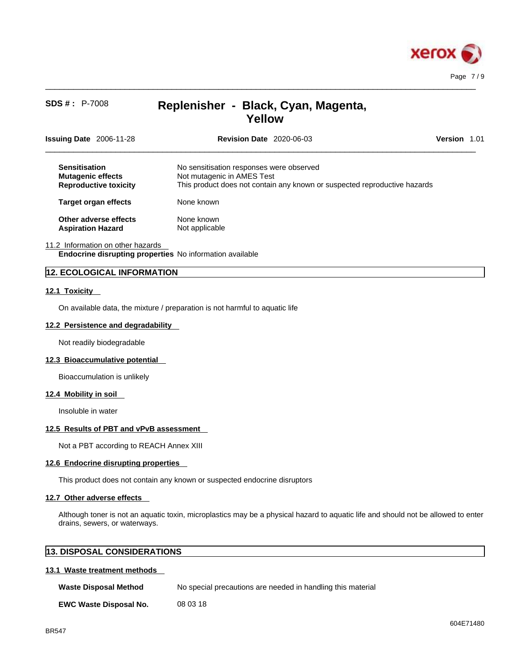

 $\_$  ,  $\_$  ,  $\_$  ,  $\_$  ,  $\_$  ,  $\_$  ,  $\_$  ,  $\_$  ,  $\_$  ,  $\_$  ,  $\_$  ,  $\_$  ,  $\_$  ,  $\_$  ,  $\_$  ,  $\_$  ,  $\_$  ,  $\_$  ,  $\_$  ,  $\_$  ,  $\_$  ,  $\_$  ,  $\_$  ,  $\_$  ,  $\_$  ,  $\_$  ,  $\_$  ,  $\_$  ,  $\_$  ,  $\_$  ,  $\_$  ,  $\_$  ,  $\_$  ,  $\_$  ,  $\_$  ,  $\_$  ,  $\_$  ,

| Issuing Date 2006-11-28                                                          | <b>Revision Date 2020-06-03</b>                                                                                                                     | <b>Version</b> 1.01 |  |
|----------------------------------------------------------------------------------|-----------------------------------------------------------------------------------------------------------------------------------------------------|---------------------|--|
| <b>Sensitisation</b><br><b>Mutagenic effects</b><br><b>Reproductive toxicity</b> | No sensitisation responses were observed<br>Not mutagenic in AMES Test<br>This product does not contain any known or suspected reproductive hazards |                     |  |
| <b>Target organ effects</b>                                                      | None known                                                                                                                                          |                     |  |
| Other adverse effects<br><b>Aspiration Hazard</b>                                | None known<br>Not applicable                                                                                                                        |                     |  |

## 11.2 Information on other hazards

**Endocrine disrupting properties** No information available

# **12. ECOLOGICAL INFORMATION**

### **12.1 Toxicity**

On available data, the mixture / preparation is not harmful to aquatic life

## **12.2 Persistence and degradability**

Not readily biodegradable

### **12.3 Bioaccumulative potential**

Bioaccumulation is unlikely

## **12.4 Mobility in soil**

Insoluble in water

### **12.5 Results of PBT and vPvB assessment**

Not a PBT according to REACH Annex XIII

# **12.6 Endocrine disrupting properties**

This product does not contain any known or suspected endocrine disruptors

## **12.7 Other adverse effects**

Although toner is not an aquatic toxin, microplastics may be a physical hazard to aquatic life and should not be allowed to enter drains, sewers, or waterways.

| <b>13. DISPOSAL CONSIDERATIONS</b> |  |
|------------------------------------|--|
|------------------------------------|--|

# **13.1 Waste treatment methods**

| <b>Waste Disposal Method</b> | No special precautions are needed in handling this material |
|------------------------------|-------------------------------------------------------------|
|                              |                                                             |

**EWC Waste Disposal No.** 08 03 18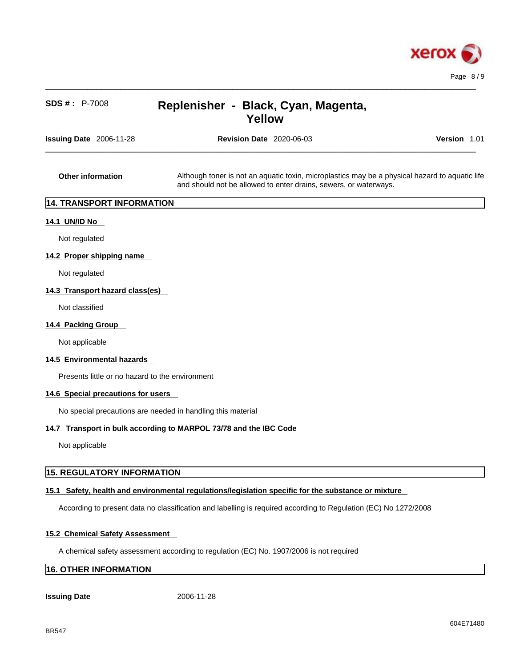

| SDS #: P-7008                                   | Replenisher - Black, Cyan, Magenta,<br><b>Yellow</b>                                                                                                               |              |
|-------------------------------------------------|--------------------------------------------------------------------------------------------------------------------------------------------------------------------|--------------|
| <b>Issuing Date</b> 2006-11-28                  | <b>Revision Date 2020-06-03</b>                                                                                                                                    | Version 1.01 |
| Other information                               | Although toner is not an aquatic toxin, microplastics may be a physical hazard to aquatic life<br>and should not be allowed to enter drains, sewers, or waterways. |              |
| 14. TRANSPORT INFORMATION                       |                                                                                                                                                                    |              |
| 14.1 UN/ID No                                   |                                                                                                                                                                    |              |
| Not regulated                                   |                                                                                                                                                                    |              |
| 14.2 Proper shipping name                       |                                                                                                                                                                    |              |
| Not regulated                                   |                                                                                                                                                                    |              |
| 14.3 Transport hazard class(es)                 |                                                                                                                                                                    |              |
| Not classified                                  |                                                                                                                                                                    |              |
| 14.4 Packing Group                              |                                                                                                                                                                    |              |
| Not applicable                                  |                                                                                                                                                                    |              |
| 14.5 Environmental hazards                      |                                                                                                                                                                    |              |
| Presents little or no hazard to the environment |                                                                                                                                                                    |              |
| 14.6 Special precautions for users              |                                                                                                                                                                    |              |
|                                                 | No special precautions are needed in handling this material                                                                                                        |              |
|                                                 | 14.7 Transport in bulk according to MARPOL 73/78 and the IBC Code                                                                                                  |              |
|                                                 |                                                                                                                                                                    |              |

Not applicable

# **15. REGULATORY INFORMATION**

# **15.1 Safety, health and environmental regulations/legislation specific for the substance or mixture**

According to present data no classification and labelling is required according to Regulation (EC) No 1272/2008

# **15.2 Chemical Safety Assessment**

A chemical safety assessment according to regulation (EC) No. 1907/2006 is not required

# **16. OTHER INFORMATION**

# **Issuing Date** 2006-11-28